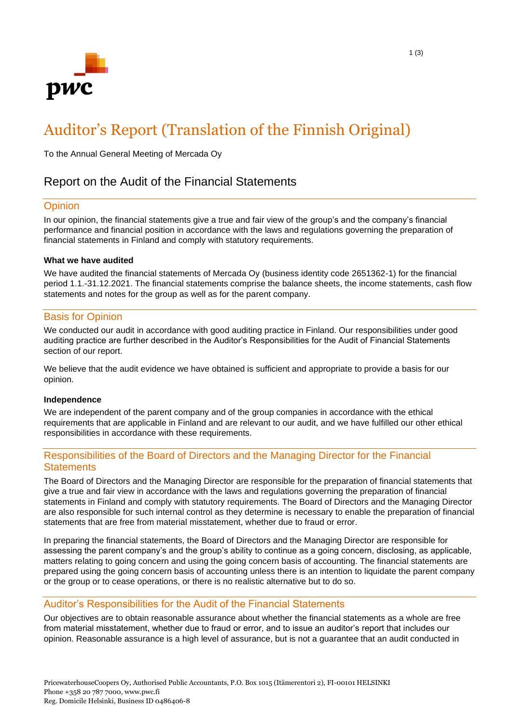

# Auditor's Report (Translation of the Finnish Original)

To the Annual General Meeting of Mercada Oy

# Report on the Audit of the Financial Statements

## **Opinion**

In our opinion, the financial statements give a true and fair view of the group's and the company's financial performance and financial position in accordance with the laws and regulations governing the preparation of financial statements in Finland and comply with statutory requirements.

#### **What we have audited**

We have audited the financial statements of Mercada Oy (business identity code 2651362-1) for the financial period 1.1.-31.12.2021. The financial statements comprise the balance sheets, the income statements, cash flow statements and notes for the group as well as for the parent company.

#### Basis for Opinion

We conducted our audit in accordance with good auditing practice in Finland. Our responsibilities under good auditing practice are further described in the Auditor's Responsibilities for the Audit of Financial Statements section of our report.

We believe that the audit evidence we have obtained is sufficient and appropriate to provide a basis for our opinion.

#### **Independence**

We are independent of the parent company and of the group companies in accordance with the ethical requirements that are applicable in Finland and are relevant to our audit, and we have fulfilled our other ethical responsibilities in accordance with these requirements.

## Responsibilities of the Board of Directors and the Managing Director for the Financial **Statements**

The Board of Directors and the Managing Director are responsible for the preparation of financial statements that give a true and fair view in accordance with the laws and regulations governing the preparation of financial statements in Finland and comply with statutory requirements. The Board of Directors and the Managing Director are also responsible for such internal control as they determine is necessary to enable the preparation of financial statements that are free from material misstatement, whether due to fraud or error.

In preparing the financial statements, the Board of Directors and the Managing Director are responsible for assessing the parent company's and the group's ability to continue as a going concern, disclosing, as applicable, matters relating to going concern and using the going concern basis of accounting. The financial statements are prepared using the going concern basis of accounting unless there is an intention to liquidate the parent company or the group or to cease operations, or there is no realistic alternative but to do so.

## Auditor's Responsibilities for the Audit of the Financial Statements

Our objectives are to obtain reasonable assurance about whether the financial statements as a whole are free from material misstatement, whether due to fraud or error, and to issue an auditor's report that includes our opinion. Reasonable assurance is a high level of assurance, but is not a guarantee that an audit conducted in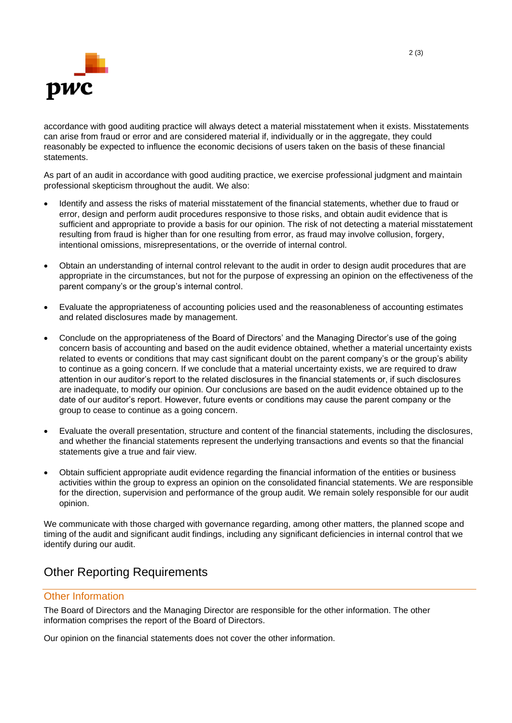

accordance with good auditing practice will always detect a material misstatement when it exists. Misstatements can arise from fraud or error and are considered material if, individually or in the aggregate, they could reasonably be expected to influence the economic decisions of users taken on the basis of these financial statements.

As part of an audit in accordance with good auditing practice, we exercise professional judgment and maintain professional skepticism throughout the audit. We also:

- Identify and assess the risks of material misstatement of the financial statements, whether due to fraud or error, design and perform audit procedures responsive to those risks, and obtain audit evidence that is sufficient and appropriate to provide a basis for our opinion. The risk of not detecting a material misstatement resulting from fraud is higher than for one resulting from error, as fraud may involve collusion, forgery, intentional omissions, misrepresentations, or the override of internal control.
- Obtain an understanding of internal control relevant to the audit in order to design audit procedures that are appropriate in the circumstances, but not for the purpose of expressing an opinion on the effectiveness of the parent company's or the group's internal control.
- Evaluate the appropriateness of accounting policies used and the reasonableness of accounting estimates and related disclosures made by management.
- Conclude on the appropriateness of the Board of Directors' and the Managing Director's use of the going concern basis of accounting and based on the audit evidence obtained, whether a material uncertainty exists related to events or conditions that may cast significant doubt on the parent company's or the group's ability to continue as a going concern. If we conclude that a material uncertainty exists, we are required to draw attention in our auditor's report to the related disclosures in the financial statements or, if such disclosures are inadequate, to modify our opinion. Our conclusions are based on the audit evidence obtained up to the date of our auditor's report. However, future events or conditions may cause the parent company or the group to cease to continue as a going concern.
- Evaluate the overall presentation, structure and content of the financial statements, including the disclosures, and whether the financial statements represent the underlying transactions and events so that the financial statements give a true and fair view.
- Obtain sufficient appropriate audit evidence regarding the financial information of the entities or business activities within the group to express an opinion on the consolidated financial statements. We are responsible for the direction, supervision and performance of the group audit. We remain solely responsible for our audit opinion.

We communicate with those charged with governance regarding, among other matters, the planned scope and timing of the audit and significant audit findings, including any significant deficiencies in internal control that we identify during our audit.

# Other Reporting Requirements

# Other Information

The Board of Directors and the Managing Director are responsible for the other information. The other information comprises the report of the Board of Directors.

Our opinion on the financial statements does not cover the other information.